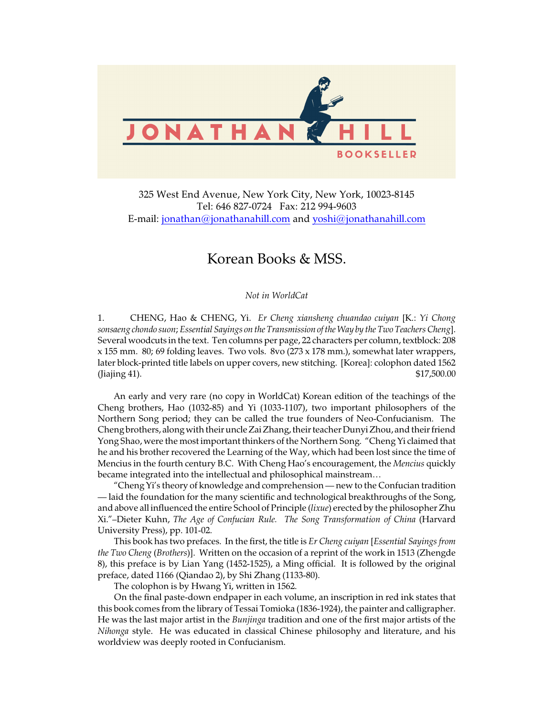

325 West End Avenue, New York City, New York, 10023-8145 Tel: 646 827-0724 Fax: 212 994-9603 E-mail: [jonathan@jonathanahill.com](mailto:jonathan@jonathanahill.com) and [yoshi@jonathanahill.com](mailto:yoshi@jonathanahill.com)

## Korean Books & MSS.

*Not in WorldCat*

1. CHENG, Hao & CHENG, Yi. *Er Cheng xiansheng chuandao cuiyan* [K.: *Yi Chong sonsaeng chondo suon*; *Essential Sayings on the Transmission of the Way by the Two Teachers Cheng*]. Several woodcuts in the text. Ten columns per page, 22 characters per column, textblock: 208 x 155 mm. 80; 69 folding leaves. Two vols. 8vo (273 x 178 mm.), somewhat later wrappers, later block-printed title labels on upper covers, new stitching. [Korea]: colophon dated 1562 (Jiajing 41). \$17,500.00

An early and very rare (no copy in WorldCat) Korean edition of the teachings of the Cheng brothers, Hao (1032-85) and Yi (1033-1107), two important philosophers of the Northern Song period; they can be called the true founders of Neo-Confucianism. The Cheng brothers, along with their uncle Zai Zhang, their teacher Dunyi Zhou, and their friend Yong Shao, were the most important thinkers of the Northern Song. "Cheng Yi claimed that he and his brother recovered the Learning of the Way, which had been lost since the time of Mencius in the fourth century B.C. With Cheng Hao's encouragement, the *Mencius* quickly became integrated into the intellectual and philosophical mainstream…

"Cheng Yi's theory of knowledge and comprehension — new to the Confucian tradition — laid the foundation for the many scientific and technological breakthroughs of the Song, and above all influenced the entire School of Principle (*lixue*) erected by the philosopher Zhu Xi."–Dieter Kuhn, *The Age of Confucian Rule. The Song Transformation of China* (Harvard University Press), pp. 101-02.

This book has two prefaces. In the first, the title is *Er Cheng cuiyan* [*Essential Sayings from the Two Cheng* (*Brothers*)]. Written on the occasion of a reprint of the work in 1513 (Zhengde 8), this preface is by Lian Yang (1452-1525), a Ming official. It is followed by the original preface, dated 1166 (Qiandao 2), by Shi Zhang (1133-80).

The colophon is by Hwang Yi, written in 1562.

On the final paste-down endpaper in each volume, an inscription in red ink states that this book comes from the library of Tessai Tomioka (1836-1924), the painter and calligrapher. He was the last major artist in the *Bunjinga* tradition and one of the first major artists of the *Nihonga* style. He was educated in classical Chinese philosophy and literature, and his worldview was deeply rooted in Confucianism.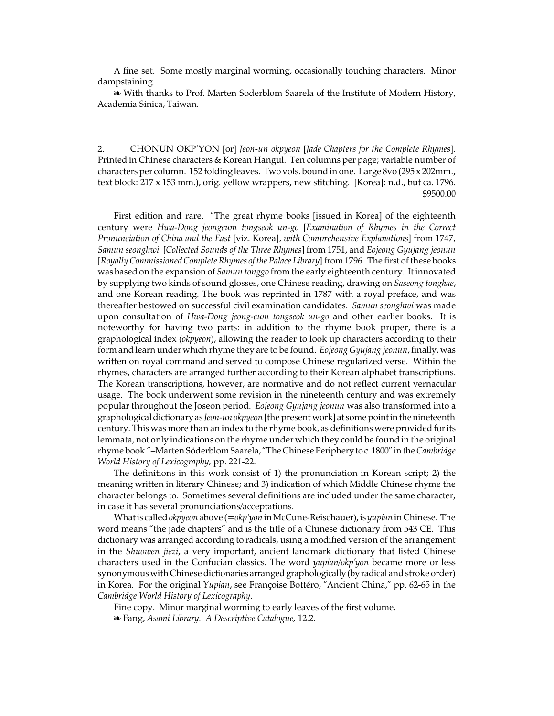A fine set. Some mostly marginal worming, occasionally touching characters. Minor dampstaining.

É With thanks to Prof. Marten Soderblom Saarela of the Institute of Modern History, Academia Sinica, Taiwan.

2. CHONUN OKP'YON [or] *Jeon-un okpyeon* [*Jade Chapters for the Complete Rhymes*]. Printed in Chinese characters & Korean Hangul. Ten columns per page; variable number of characters per column. 152 folding leaves. Two vols. bound in one. Large 8vo (295 x 202mm., text block: 217 x 153 mm.), orig. yellow wrappers, new stitching. [Korea]: n.d., but ca. 1796. \$9500.00

First edition and rare. "The great rhyme books [issued in Korea] of the eighteenth century were *Hwa-Dong jeongeum tongseok un-go* [*Examination of Rhymes in the Correct Pronunciation of China and the East* [viz. Korea], *with Comprehensive Explanations*] from 1747, *Samun seonghwi* [*Collected Sounds of the Three Rhymes*] from 1751, and *Eojeong Gyujang jeonun* [*Royally Commissioned Complete Rhymes of the Palace Library*] from 1796. The first of these books was based on the expansion of *Samun tonggo* from the early eighteenth century. It innovated by supplying two kinds of sound glosses, one Chinese reading, drawing on *Saseong tonghae*, and one Korean reading. The book was reprinted in 1787 with a royal preface, and was thereafter bestowed on successful civil examination candidates. *Samun seonghwi* was made upon consultation of *Hwa-Dong jeong-eum tongseok un-go* and other earlier books. It is noteworthy for having two parts: in addition to the rhyme book proper, there is a graphological index (*okpyeon*), allowing the reader to look up characters according to their form and learn under which rhyme they are to be found. *Eojeong Gyujang jeonun*,finally, was written on royal command and served to compose Chinese regularized verse. Within the rhymes, characters are arranged further according to their Korean alphabet transcriptions. The Korean transcriptions, however, are normative and do not reflect current vernacular usage. The book underwent some revision in the nineteenth century and was extremely popular throughout the Joseon period. *Eojeong Gyujang jeonun* was also transformed into a graphological dictionary as *Jeon-un okpyeon* [the present work] at some point in the nineteenth century. This was more than an index to the rhyme book, as definitions were provided for its lemmata, not only indications on the rhyme under which they could be found in the original rhyme book."–Marten Söderblom Saarela, "TheChinesePeriphery toc. 1800" inthe*Cambridge World History of Lexicography,* pp. 221-22.

The definitions in this work consist of 1) the pronunciation in Korean script; 2) the meaning written in literary Chinese; and 3) indication of which Middle Chinese rhyme the character belongs to. Sometimes several definitions are included under the same character, in case it has several pronunciations/acceptations.

What is called *okpyeon* above (=*okp'yon* in McCune-Reischauer), is *yupian* in Chinese. The word means "the jade chapters" and is the title of a Chinese dictionary from 543 CE. This dictionary was arranged according to radicals, using a modified version of the arrangement in the *Shuowen jiezi*, a very important, ancient landmark dictionary that listed Chinese characters used in the Confucian classics. The word *yupian/okp'yon* became more or less synonymous with Chinese dictionaries arranged graphologically (by radical and stroke order) in Korea. For the original *Yupian*, see Françoise Bottéro, "Ancient China," pp. 62-65 in the *Cambridge World History of Lexicography*.

Fine copy. Minor marginal worming to early leaves of the first volume.

É Fang, *Asami Library. A Descriptive Catalogue,* 12.2.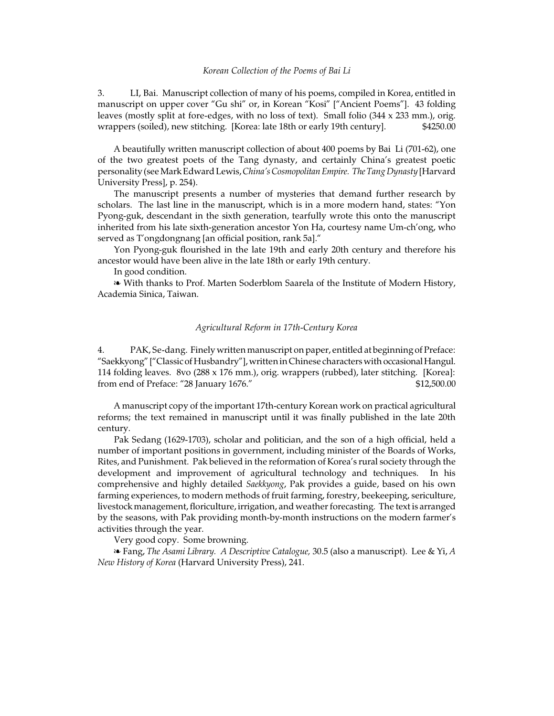## *Korean Collection of the Poems of Bai Li*

3. LI, Bai. Manuscript collection of many of his poems, compiled in Korea, entitled in manuscript on upper cover "Gu shi" or, in Korean "Kosi" ["Ancient Poems"]. 43 folding leaves (mostly split at fore-edges, with no loss of text). Small folio (344 x 233 mm.), orig. wrappers (soiled), new stitching. [Korea: late 18th or early 19th century].  $\frac{$4250.00}{2}$ 

A beautifully written manuscript collection of about 400 poems by Bai Li (701-62), one of the two greatest poets of the Tang dynasty, and certainly China's greatest poetic personality (see Mark Edward Lewis,*China's CosmopolitanEmpire. TheTang Dynasty* [Harvard University Press], p. 254).

The manuscript presents a number of mysteries that demand further research by scholars. The last line in the manuscript, which is in a more modern hand, states: "Yon Pyong-guk, descendant in the sixth generation, tearfully wrote this onto the manuscript inherited from his late sixth-generation ancestor Yon Ha, courtesy name Um-ch'ong, who served as T'ongdongnang [an official position, rank 5a]."

Yon Pyong-guk flourished in the late 19th and early 20th century and therefore his ancestor would have been alive in the late 18th or early 19th century.

In good condition.

**E** With thanks to Prof. Marten Soderblom Saarela of the Institute of Modern History, Academia Sinica, Taiwan.

## *Agricultural Reform in 17th-Century Korea*

4. PAK, Se-dang. Finely written manuscript on paper, entitled at beginning of Preface: "Saekkyong" ["Classicof Husbandry"], written in Chinese characters with occasional Hangul. 114 folding leaves. 8vo (288 x 176 mm.), orig. wrappers (rubbed), later stitching. [Korea]: from end of Preface: "28 January 1676." \$12,500.00

A manuscript copy of the important 17th-century Korean work on practical agricultural reforms; the text remained in manuscript until it was finally published in the late 20th century.

Pak Sedang (1629-1703), scholar and politician, and the son of a high official, held a number of important positions in government, including minister of the Boards of Works, Rites, and Punishment. Pak believed in the reformation of Korea's rural society through the development and improvement of agricultural technology and techniques. In his comprehensive and highly detailed *Saekkyong*, Pak provides a guide, based on his own farming experiences, to modern methods of fruit farming, forestry, beekeeping, sericulture, livestock management, floriculture, irrigation, and weather forecasting. The text is arranged by the seasons, with Pak providing month-by-month instructions on the modern farmer's activities through the year.

Very good copy. Some browning.

É Fang, *The Asami Library. A Descriptive Catalogue,* 30.5 (also a manuscript). Lee & Yi, *A New History of Korea* (Harvard University Press), 241.